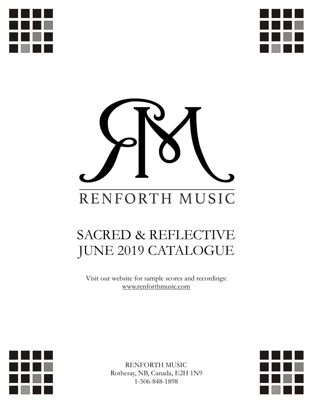





# SACRED & REFLECTIVE JUNE 2019 CATALOGUE

Visit our website for sample scores and recordings: [www.renforthmusic.com](http://www.renforthmusic.com)



RENFORTH MUSIC Rothesay, NB, Canada, E2H 1N9 1-506-848-1898

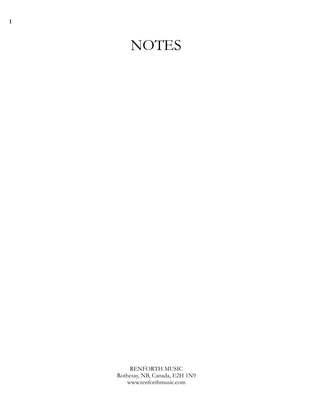### **NOTES**

RENFORTH MUSIC Rothesay, NB, Canada, E2H 1N9 www.renforthmusic.com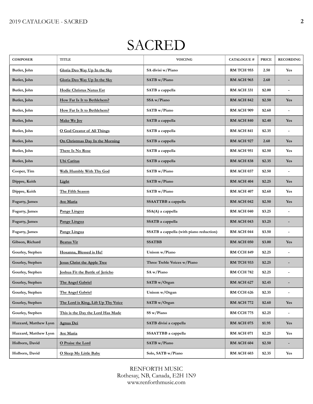### SACRED

| <b>COMPOSER</b>       | <b>TITLE</b>                        | <b>VOICING</b>                          | <b>CATALOGUE #</b> | <b>PRICE</b> | <b>RECORDING</b>         |
|-----------------------|-------------------------------------|-----------------------------------------|--------------------|--------------|--------------------------|
| Butler, John          | Gloria Deo Way Up In the Sky        | SA divisi w/Piano                       | <b>RM TCH 955</b>  | 2.50         | <b>Yes</b>               |
| Butler, John          | Gloria Deo Way Up In the Sky        | SATB w/Piano                            | <b>RM ACH 965</b>  | 2.60         |                          |
| Butler, John          | Hodie Christus Natus Est            | SATB a cappella                         | <b>RM ACH 331</b>  | \$2.00       |                          |
| Butler, John          | How Far Is It to Bethlehem?         | SSA w/Piano                             | <b>RM ACH 842</b>  | \$2.50       | <b>Yes</b>               |
| Butler, John          | How Far Is It to Bethlehem?         | SATB w/Piano                            | <b>RM ACH 909</b>  | \$2.60       |                          |
| Butler, John          | Make We Joy                         | SATB a cappella                         | <b>RM ACH 840</b>  | \$2.40       | Yes                      |
| Butler, John          | <b>O God Creator of All Things</b>  | SATB a cappella                         | <b>RM ACH 841</b>  | \$2.35       |                          |
| Butler, John          | On Christmas Day In the Morning     | SATB a cappella                         | RM ACH 927         | 2.60         | Yes                      |
| Butler, John          | There Is No Rose                    | SATB a cappella                         | <b>RM ACH 951</b>  | \$2.50       | Yes                      |
| Butler, John          | Ubi Caritas                         | SATB a cappella                         | <b>RM ACH 838</b>  | \$2.35       | Yes                      |
| Cooper, Tim           | Walk Humbly With Thy God            | SATB w/Piano                            | RM ACH 037         | \$2.50       | $\blacksquare$           |
| Dippre, Keith         | <b>Light</b>                        | SATB w/Piano                            | <b>RM ACH 404</b>  | \$2.25       | Yes                      |
| Dippre, Keith         | The Fifth Season                    | SATB w/Piano                            | <b>RM ACH 407</b>  | \$2.60       | Yes                      |
| Fogarty, James        | <b>Ave Maria</b>                    | SSAATTBB a cappella                     | <b>RM ACH 042</b>  | \$2.50       | Yes                      |
| Fogarty, James        | Pange Lingua                        | SSA(A) a cappella                       | <b>RM ACH 040</b>  | \$3.25       |                          |
| Fogarty, James        | Pange Lingua                        | SSATB a cappella                        | <b>RM ACH 043</b>  | \$3.25       |                          |
| Fogarty, James        | Pange Lingua                        | SSATB a cappella (with piano reduction) | <b>RM ACH 044</b>  | \$3.50       | $\overline{a}$           |
| Gibson, Richard       | <b>Beatus Vir</b>                   | <b>SSATBB</b>                           | <b>RM ACH 050</b>  | \$3.00       | Yes                      |
| Gourley, Stephen      | Hosanna, Blessed is He!             | Unison w/Piano                          | <b>RM CCH 849</b>  | \$2.25       |                          |
| Gourley, Stephen      | <b>Jesus Christ the Apple Tree</b>  | Three Treble Voices w/Piano             | RM TCH 933         | \$2.25       |                          |
| Gourley, Stephen      | Joshua Fit the Battle of Jericho    | SA w/Piano                              | <b>RM CCH 782</b>  | \$2.25       |                          |
| Gourley, Stephen      | The Angel Gabriel                   | SATB w/Organ                            | RM ACH 627         | \$2.45       |                          |
| Gourley, Stephen      | The Angel Gabriel                   | Unison w/Organ                          | <b>RM CCH 626</b>  | \$2.35       | $\overline{a}$           |
| Gourley, Stephen      | The Lord is King, Lift Up Thy Voice | SATB w/Organ                            | <b>RM ACH 772</b>  | \$2.60       | Yes                      |
| Gourley, Stephen      | This is the Day the Lord Has Made   | SS w/Piano                              | <b>RM CCH 775</b>  | \$2.25       | $\overline{\phantom{a}}$ |
| Hazzard, Matthew Lyon | <b>Agnus Dei</b>                    | SATB divisi a cappella                  | <b>RM ACH 075</b>  | \$1.95       | Yes                      |
| Hazzard, Matthew Lyon | <b>Ave Maria</b>                    | SSAATTBB a cappella                     | <b>RM ACH 071</b>  | \$2.25       | Yes                      |
| Holborn, David        | O Praise the Lord                   | SATB w/Piano                            | <b>RM ACH 604</b>  | \$2.50       |                          |
| Holborn, David        | O Sleep My Little Baby              | Solo, SATB w/Piano                      | <b>RM ACH 603</b>  | \$2.35       | Yes                      |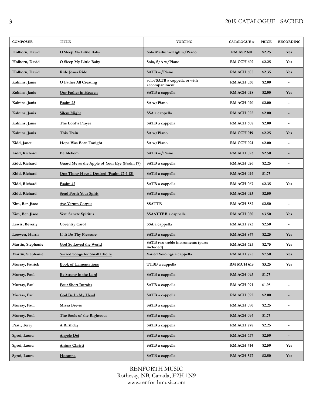| <b>COMPOSER</b>   | <b>TITLE</b>                                 | <b>VOICING</b>                                  | <b>CATALOGUE#</b> | <b>PRICE</b> | <b>RECORDING</b>         |
|-------------------|----------------------------------------------|-------------------------------------------------|-------------------|--------------|--------------------------|
| Holborn, David    | O Sleep My Little Baby                       | Solo Medium-High w/Piano                        | <b>RM ASP 601</b> | \$2.25       | <b>Yes</b>               |
| Holborn, David    | O Sleep My Little Baby                       | Solo, S/A w/Piano                               | <b>RM CCH 602</b> | \$2.25       | <b>Yes</b>               |
| Holborn, David    | Ride Jesus Ride                              | SATB w/Piano                                    | <b>RM ACH 605</b> | \$2.35       | <b>Yes</b>               |
| Kalnins, Janis    | <b>O</b> Father All Creating                 | solo/SATB a cappella or with<br>accompaniment   | RM ACH 030        | \$2.00       | $\overline{\phantom{a}}$ |
| Kalnins, Janis    | Our Father in Heaven                         | SATB a cappella                                 | <b>RM ACH 028</b> | \$2.00       | <b>Yes</b>               |
| Kalnins, Janis    | Psalm 23                                     | SA w/Piano                                      | <b>RM ACH 020</b> | \$2.00       |                          |
| Kalnins, Janis    | <b>Silent Night</b>                          | SSA a cappella                                  | <b>RM ACH 022</b> | \$2.00       | $\overline{\phantom{0}}$ |
| Kalnins, Janis    | The Lord's Prayer                            | SATB a cappella                                 | RM ACH 608        | \$2.00       | $\overline{\phantom{a}}$ |
| Kalnins, Janis    | This Train                                   | SA w/Piano                                      | <b>RM CCH 019</b> | \$2.25       | Yes                      |
| Kidd, Janet       | <b>Hope Was Born Tonight</b>                 | SA w/Piano                                      | <b>RM CCH 021</b> | \$2.00       |                          |
| Kidd, Richard     | <b>Bethlehem</b>                             | SATB w/Piano                                    | <b>RM ACH 023</b> | \$2.50       |                          |
| Kidd, Richard     | Guard Me as the Apple of Your Eye (Psalm 17) | SATB a cappella                                 | <b>RM ACH 026</b> | \$2.25       | $\overline{a}$           |
| Kidd, Richard     | One Thing Have I Desired (Psalm 27:4.13)     | SATB a cappella                                 | <b>RM ACH 024</b> | \$1.75       |                          |
| Kidd, Richard     | Psalm 42                                     | SATB a cappella                                 | <b>RM ACH 067</b> | \$2.35       | <b>Yes</b>               |
| Kidd, Richard     | Send Forth Your Spirit                       | SATB a cappella                                 | <b>RM ACH 025</b> | \$2.50       |                          |
| Kim, Ben Jisoo    | <b>Ave Verum Corpus</b>                      | <b>SSATTB</b>                                   | <b>RM ACH 582</b> | \$2.50       | ٠                        |
| Kim, Ben Jisoo    | Veni Sancte Spiritus                         | SSAATTBB a cappella                             | <b>RM ACH 080</b> | \$3.50       | <b>Yes</b>               |
| Lewis, Beverly    | <b>Coventry Carol</b>                        | SSA a cappella                                  | RM ACH 773        | \$2.50       | $\overline{\phantom{a}}$ |
| Loewen, Harris    | If It Be Thy Pleasure                        | SATB a cappella                                 | <b>RM ACH 847</b> | \$2.25       | <b>Yes</b>               |
| Martin, Stephanie | God So Loved the World                       | SATB two treble instruments (parts<br>included) | RM ACH 625        | \$2.75       | Yes                      |
| Martin, Stephanie | <b>Sacred Songs for Small Choirs</b>         | Varied Voicings a cappella                      | <b>RM ACH 725</b> | \$7.50       | <b>Yes</b>               |
| Murray, Patrick   | <b>Book of Lamentations</b>                  | TTBB a cappella                                 | RM MCH 618        | \$3.25       | Yes                      |
| Murray, Paul      | Be Strong in the Lord                        | SATB a cappella                                 | <b>RM ACH 093</b> | \$1.75       |                          |
| Murray, Paul      | Four Short Introits                          | SATB a cappella                                 | <b>RM ACH 091</b> | \$1.95       | $\overline{a}$           |
| Murray, Paul      | God Be In My Head                            | SATB a cappella                                 | <b>RM ACH 092</b> | \$2.00       |                          |
| Murray, Paul      | <b>Missa Brevis</b>                          | SATB a cappella                                 | RM ACH 090        | \$2.25       | $\overline{\phantom{a}}$ |
| Murray, Paul      | The Souls of the Righteous                   | SATB a cappella                                 | <b>RM ACH 094</b> | \$1.75       | $\overline{\phantom{m}}$ |
| Pratt, Terry      | A Birthday                                   | SATB a cappella                                 | <b>RM ACH 778</b> | \$2.25       | ٠                        |
| Sgroi, Laura      | <b>Angele Dei</b>                            | SATB a cappella                                 | <b>RM ACH 637</b> | \$2.50       |                          |
| Sgroi, Laura      | Anima Christi                                | SATB a cappella                                 | <b>RM ACH 414</b> | \$2.50       | Yes                      |
| Sgroi, Laura      | <b>Hosanna</b>                               | SATB a cappella                                 | <b>RM ACH 527</b> | \$2.50       | <b>Yes</b>               |

RENFORTH MUSIC Rothesay, NB, Canada, E2H 1N9 www.renforthmusic.com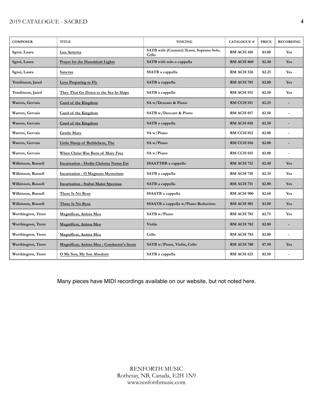#### 2019 CATALOGUE - SACRED **4**

| <b>COMPOSER</b>    | <b>TITLE</b>                                  | <b>VOICING</b>                                    | <b>CATALOGUE#</b> | <b>PRICE</b> | <b>RECORDING</b>         |
|--------------------|-----------------------------------------------|---------------------------------------------------|-------------------|--------------|--------------------------|
| Sgroi, Laura       | Lux Aeterna                                   | SATB with (Counter) Tenor, Soprano Solo,<br>Cello | <b>RM ACH 410</b> | \$3.00       | Yes                      |
| Sgroi, Laura       | Prayer for the Hanukkah Lights                | SATB with solo a cappella                         | <b>RM ACH 860</b> | \$2.40       | Yes                      |
| Sgroi, Laura       | <b>Sanctus</b>                                | SSATB a cappella                                  | <b>RM ACH 526</b> | \$2.25       | <b>Yes</b>               |
| Tomlinson, Jared   | Love Preparing to Fly                         | SATB a cappella                                   | <b>RM ACH 701</b> | \$2.00       | Yes                      |
| Tomlinson, Jared   | They That Go Down to the Sea In Ships         | SATB a cappella                                   | <b>RM ACH 931</b> | \$2.50       | <b>Yes</b>               |
| Warren, Gervais    | Carol of the Kingdom                          | SA w/Descant & Piano                              | RM CCH 011        | \$2.25       |                          |
| Warren, Gervais    | Carol of the Kingdom                          | SATB w/Descant & Piano                            | RM ACH 017        | \$2.50       | $\overline{\phantom{a}}$ |
| Warren, Gervais    | Carol of the Kingdom                          | SATB a cappella                                   | <b>RM ACH 018</b> | \$2.50       |                          |
| Warren, Gervais    | <b>Gentle Mary</b>                            | SA w/Piano                                        | RM CCH 012        | \$2.00       |                          |
| Warren, Gervais    | Little Sheep of Bethlehem, The                | SA w/Piano                                        | <b>RM CCH 016</b> | \$2.00       |                          |
| Warren, Gervais    | When Christ Was Born of Mary Free             | SA w/Piano                                        | <b>RM CCH 015</b> | \$2.00       | $\overline{a}$           |
| Wilkinson, Russell | <b>Incarnation - Hodie Christus Natus Est</b> | SSAATTBB a cappella                               | <b>RM ACH 712</b> | \$2.40       | Yes                      |
| Wilkinson, Russell | Incarnation - O Magnum Mysterium              | SATB a cappella                                   | <b>RM ACH 710</b> | \$2.35       | Yes                      |
| Wilkinson, Russell | <b>Incarnation - Stabat Mater Speciosa</b>    | SATB a cappella                                   | <b>RM ACH 711</b> | \$2.00       | Yes                      |
| Wilkinson, Russell | There Is No Rose                              | SSAATB a cappella                                 | <b>RM ACH 900</b> | \$2.60       | Yes                      |
| Wilkinson, Russell | There Is No Rose                              | SSAATB a cappella w/Piano Reduction               | <b>RM ACH 901</b> | \$3.00       | Yes                      |
| Worthington, Trent | Magnificat, Anima Mea                         | SATB w/Piano                                      | RM ACH 781        | \$2.75       | Yes                      |
| Worthington, Trent | Magnificat, Anima Mea                         | Violin                                            | <b>RM ACH 782</b> | \$2.00       |                          |
| Worthington, Trent | Magnificat, Anima Mea                         | Cello                                             | RM ACH 783        | \$2.00       | $\overline{a}$           |
| Worthington, Trent | Magnificat, Anima Mea - Conductor's Score     | SATB w/Piano, Violin, Cello                       | RM ACH 780        | \$7.50       | Yes                      |
| Worthington, Trent | O My Son, My Son Absalom                      | SATB a cappella                                   | RM ACH 621        | \$2.50       |                          |

Many pieces have MIDI recordings available on our website, but not noted here.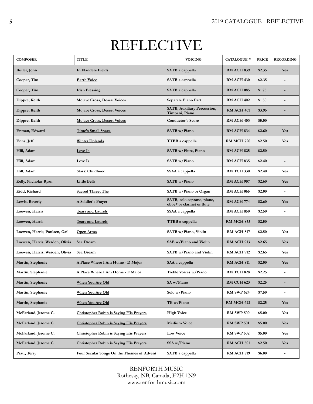## REFLECTIVE

| <b>COMPOSER</b>                | <b>TITLE</b>                                   | <b>VOICING</b>                                           | <b>CATALOGUE#</b> | <b>PRICE</b> | <b>RECORDING</b>         |
|--------------------------------|------------------------------------------------|----------------------------------------------------------|-------------------|--------------|--------------------------|
| Butler, John                   | In Flanders Fields                             | SATB a cappella                                          | <b>RM ACH 839</b> | \$2.35       | Yes                      |
| Cooper, Tim                    | <b>Earth Voice</b>                             | SATB a cappella                                          | RM ACH 430        | \$2.35       |                          |
| Cooper, Tim                    | <b>Irish Blessing</b>                          | SATB a cappella                                          | <b>RM ACH 085</b> | \$1.75       |                          |
| Dippre, Keith                  | Mojave Cross, Desert Voices                    | Separate Piano Part                                      | <b>RM ACH 402</b> | \$1.50       |                          |
| Dippre, Keith                  | <b>Mojave Cross, Desert Voices</b>             | SATB, Auxiliary Percussion,<br>Timpani, Piano            | RM ACH 401        | \$3.95       |                          |
| Dippre, Keith                  | <b>Mojave Cross, Desert Voices</b>             | <b>Conductor's Score</b>                                 | RM ACH 403        | \$5.00       |                          |
| Enman, Edward                  | <b>Time's Small Space</b>                      | SATB w/Piano                                             | <b>RM ACH 834</b> | \$2.60       | Yes                      |
| Enns, Jeff                     | <b>Winter Uplands</b>                          | <b>TTBB</b> a cappella                                   | <b>RM MCH 720</b> | \$2.50       | Yes                      |
| Hill, Adam                     | Love Is                                        | SATB w/Flute, Piano                                      | <b>RM ACH 825</b> | \$2.50       |                          |
| Hill, Adam                     | Love Is                                        | SATB w/Piano                                             | <b>RM ACH 835</b> | \$2.40       |                          |
| Hill, Adam                     | Stars: Childhood                               | SSAA a cappella                                          | RM TCH 330        | \$2.40       | Yes                      |
| Kelly, Nicholas Ryan           | <b>Little Bells</b>                            | SATB w/Piano                                             | RM ACH 907        | \$2.60       | Yes                      |
| Kidd, Richard                  | <b>Sacred Three, The</b>                       | SATB w/Piano or Organ                                    | <b>RM ACH 065</b> | \$2.00       |                          |
| Lewis, Beverly                 | <b>A Soldier's Prayer</b>                      | SATB, solo soprano, piano,<br>oboe* or clarinet or flute | <b>RM ACH 774</b> | \$2.60       | Yes                      |
| Loewen, Harris                 | <b>Tears and Laurels</b>                       | SSAA a cappella                                          | <b>RM ACH 850</b> | \$2.50       |                          |
| Loewen, Harris                 | <b>Tears and Laurels</b>                       | TTBB a cappella                                          | <b>RM MCH 855</b> | \$2.50       |                          |
| Loewen, Harris; Poulsen, Gail  | Open Arms                                      | SATB w/Piano, Violin                                     | <b>RM ACH 817</b> | \$2.50       | Yes                      |
| Loewen, Harris; Werden, Olivia | Sea Dream                                      | SAB w/Piano and Violin                                   | <b>RM ACH 913</b> | \$2.65       | Yes                      |
| Loewen, Harris; Werden, Olivia | Sea Dream                                      | SATB w/Piano and Violin                                  | <b>RM ACH 912</b> | \$2.65       | Yes                      |
| Martin, Stephanie              | A Place Where I Am Home - D Major              | SAA a cappella                                           | <b>RM ACH 811</b> | \$2.00       | Yes                      |
| Martin, Stephanie              | A Place Where I Am Home - F Major              | Treble Voices w/Piano                                    | <b>RM TCH 828</b> | \$2.25       |                          |
| Martin, Stephanie              | When You Are Old                               | SA w/Piano                                               | RM CCH 623        | \$2.25       |                          |
| Martin, Stephanie              | When You Are Old                               | Solo w/Piano                                             | <b>RM SWP 624</b> | \$7.50       | $\overline{\phantom{a}}$ |
| Martin, Stephanie              | When You Are Old                               | TB w/Piano                                               | <b>RM MCH 622</b> | \$2.25       | Yes                      |
| McFarland, Jerome C.           | <b>Christopher Robin is Saying His Prayers</b> | <b>High Voice</b>                                        | <b>RM SWP 500</b> | \$5.00       | Yes                      |
| McFarland, Jerome C.           | <b>Christopher Robin is Saying His Prayers</b> | <b>Medium Voice</b>                                      | <b>RM SWP 501</b> | \$5.00       | Yes                      |
| McFarland, Jerome C.           | <b>Christopher Robin is Saying His Prayers</b> | <b>Low Voice</b>                                         | <b>RM SWP 502</b> | \$5.00       | Yes                      |
| McFarland, Jerome C.           | Christopher Robin is Saving His Prayers        | SSA w/Piano                                              | RM ACH 501        | \$2.50       | Yes                      |
| Pratt, Terry                   | Four Secular Songs On the Themes of Advent     | SATB a cappella                                          | <b>RM ACH 819</b> | \$6.00       | $\overline{\phantom{a}}$ |

RENFORTH MUSIC Rothesay, NB, Canada, E2H 1N9 www.renforthmusic.com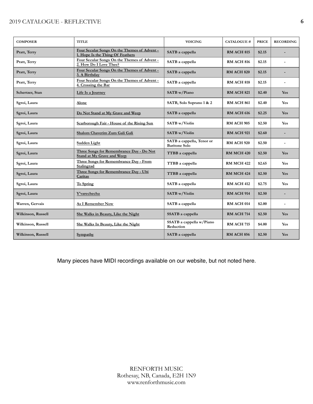#### 2019 CATALOGUE - REFLECTIVE **6**

| <b>COMPOSER</b>    | <b>TITLE</b>                                                                     | <b>VOICING</b>                                    | <b>CATALOGUE#</b> | <b>PRICE</b> | <b>RECORDING</b> |
|--------------------|----------------------------------------------------------------------------------|---------------------------------------------------|-------------------|--------------|------------------|
| Pratt, Terry       | Four Secular Songs On the Themes of Advent -<br>1. Hope Is the Thing Of Feathers | SATB a cappella                                   | <b>RM ACH 815</b> | \$2.15       |                  |
| Pratt, Terry       | Four Secular Songs On the Themes of Advent -<br>2. How Do I Love Thee?           | SATB a cappella                                   | <b>RM ACH 816</b> | \$2.15       |                  |
| Pratt, Terry       | Four Secular Songs On the Themes of Advent -<br>3. A Birthday                    | SATB a cappella                                   | <b>RM ACH 820</b> | \$2.15       |                  |
| Pratt, Terry       | Four Secular Songs On the Themes of Advent -<br>4. Crossing the Bar              | SATB a cappella                                   | <b>RM ACH 818</b> | \$2.15       |                  |
| Schertzer, Stan    | Life Is a Journey                                                                | SATB w/Piano                                      | <b>RM ACH 821</b> | \$2.40       | <b>Yes</b>       |
| Sgroi, Laura       | Alone                                                                            | SATB, Solo Soprano 1 & 2                          | <b>RM ACH 861</b> | \$2.40       | <b>Yes</b>       |
| Sgroi, Laura       | Do Not Stand at My Grave and Weep                                                | SATB a cappella                                   | <b>RM ACH 616</b> | \$2.25       | Yes              |
| Sgroi, Laura       | Scarborough Fair - House of the Rising Sun                                       | SATB w/Violin                                     | <b>RM ACH 905</b> | \$2.50       | Yes              |
| Sgroi, Laura       | Shalom Chaverim Zum Gali Gali                                                    | <b>SATB</b> w/Violin                              | <b>RM ACH 921</b> | \$2.60       |                  |
| Sgroi, Laura       | Sudden Light                                                                     | SATB a cappella, Tenor or<br><b>Baritone Solo</b> | <b>RM ACH 920</b> | \$2.50       |                  |
| Sgroi, Laura       | Three Songs for Remembrance Day - Do Not<br><b>Stand at My Grave and Weep</b>    | TTBB a cappella                                   | <b>RM MCH 420</b> | \$2.50       | Yes              |
| Sgroi, Laura       | Three Songs for Remembrance Day - From<br>Stalingrad                             | TTBB a cappella                                   | <b>RM MCH 422</b> | \$2.65       | Yes              |
| Sgroi, Laura       | Three Songs for Remembrance Day - Ubi<br>Caritas                                 | TTBB a cappella                                   | <b>RM MCH 424</b> | \$2.50       | Yes              |
| Sgroi, Laura       | To Spring                                                                        | SATB a cappella                                   | <b>RM ACH 412</b> | \$2.75       | Yes              |
| Sgroi, Laura       | Y'varechecha                                                                     | <b>SATB</b> w/Violin                              | <b>RM ACH 914</b> | \$2.50       |                  |
| Warren, Gervais    | <b>As I Remember Now</b>                                                         | SATB a cappella                                   | <b>RM ACH 014</b> | \$2.00       |                  |
| Wilkinson, Russell | She Walks in Beauty, Like the Night                                              | SSATB a cappella                                  | <b>RM ACH 714</b> | \$2.50       | Yes              |
| Wilkinson, Russell | She Walks In Beauty, Like the Night                                              | SSATB a cappella w/Piano<br>Reduction             | <b>RM ACH 715</b> | \$4.00       | Yes              |
| Wilkinson, Russell | Sympathy                                                                         | SATB a cappella                                   | <b>RM ACH 856</b> | \$2.50       | <b>Yes</b>       |

Many pieces have MIDI recordings available on our website, but not noted here.